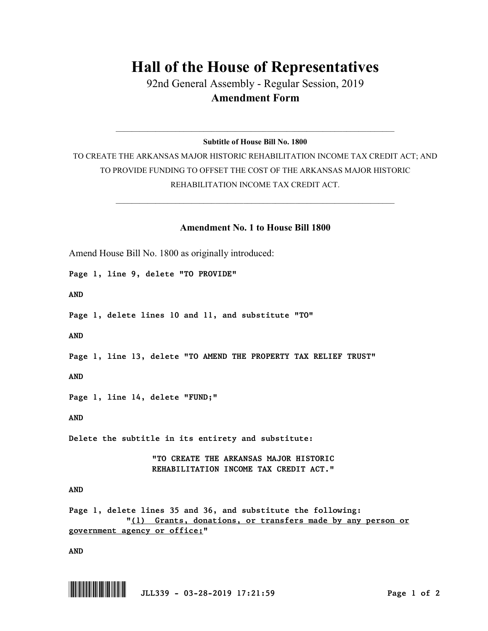## **Hall of the House of Representatives**

92nd General Assembly - Regular Session, 2019 **Amendment Form**

 $\_$  , and the set of the set of the set of the set of the set of the set of the set of the set of the set of the set of the set of the set of the set of the set of the set of the set of the set of the set of the set of th **Subtitle of House Bill No. 1800**

TO CREATE THE ARKANSAS MAJOR HISTORIC REHABILITATION INCOME TAX CREDIT ACT; AND TO PROVIDE FUNDING TO OFFSET THE COST OF THE ARKANSAS MAJOR HISTORIC REHABILITATION INCOME TAX CREDIT ACT.

 $\_$  , and the set of the set of the set of the set of the set of the set of the set of the set of the set of the set of the set of the set of the set of the set of the set of the set of the set of the set of the set of th

## **Amendment No. 1 to House Bill 1800**

Amend House Bill No. 1800 as originally introduced:

*Page 1, line 9, delete "TO PROVIDE"*

*AND*

*Page 1, delete lines 10 and 11, and substitute "TO"*

*AND*

*Page 1, line 13, delete "TO AMEND THE PROPERTY TAX RELIEF TRUST"*

*AND*

*Page 1, line 14, delete "FUND;"*

*AND*

*Delete the subtitle in its entirety and substitute:* 

*"TO CREATE THE ARKANSAS MAJOR HISTORIC REHABILITATION INCOME TAX CREDIT ACT."*

## *AND*

*Page 1, delete lines 35 and 36, and substitute the following: "(1) Grants, donations, or transfers made by any person or government agency or office;"*

*AND*